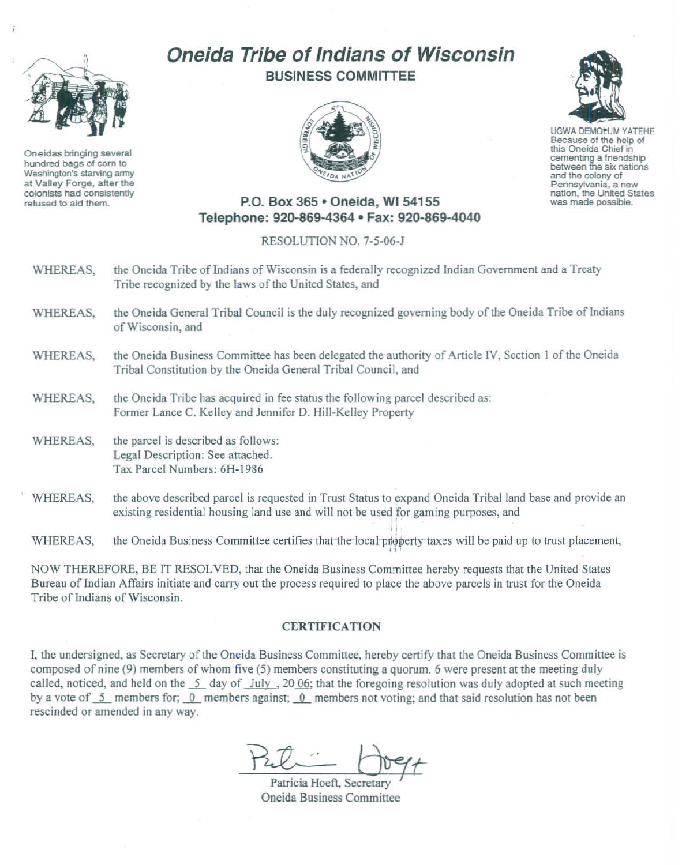

Oneidas bringing several hundred bags of corn to Washington's starving army at Valley Forge, after the colonists had consistently refused to aid them.

## Oneida Tribe of Indians of Wisconsin BUSINESS COMMITTEE





UGWA DEMOLUM YATEHE Because of the help of this Oneida Chief in cementing a friendship between the six nations and the colony of Pennsylvania, a new nation, the United States<br>was made possible.

## P.O. Box 365 · Oneida, WI 54155 Telephone: 920-869-4364 • Fax: 920-869-4040

## RESOLUTION NO. 7-5-06-J

- WHEREAS, the Oneida Tribe of Indians of Wisconsin is a federally recognized Indian Government and a Treaty Tribe recognized by the laws of the United States, and
- WHEREAS, the Oneida General Tribal Council is the duly recognized governing body of the Oneida Tribe of Indians of Wisconsin, and
- WHEREAS. the Oneida Business Committee has been delegated the authority of Article IV, Section 1 of the Oneida Tribal Constitution by the Oneida General Tribal Council, and
- WHEREAS, the Oneida Tribe has acquired in fee status the following parcel described as: Former Lance C. Kelley and Jennifer D. Hill-Kelley Property
- WHEREAS, the parcel is described as follows: Legal Description: See attached. Tax Parcel Numbers: 6H-1986
- WHEREAS, the above described parcel is requested in Trust Status to expand Oneida Tribal land base and provide an existing residential housing land use and will not be used for gaming purposes, and

WHEREAS, the Oneida Business Committee certifies that the local property taxes will be paid up to trust placement,

• i

NOW THEREFORE, BE IT RESOLVED, that the Oneida Business Committee hereby requests that the United States Bureau of Indian Affairs initiate and carry out the process required to place the above parcels in trust for the Oneida Tribe of Indians of Wisconsin.

## **CERTIFICATION**

I, the undersigned, as Secretary of the Oneida Business Committee, hereby certify that the Oneida Business Committee is composed of nine (9) members of whom five (5) members constituting a quorum. 6 were present at the meeting duly called, noticed, and held on the  $\overline{5}$  day of July , 20 06; that the foregoing resolution was duly adopted at such meeting by a vote of 5\_ members for; 0\_ members against; 0\_ members not voting; and that said resolution has not been rescinded or amended in any way.

Dogt

Patricia Hoeft. Secretary Oneida Business Committee